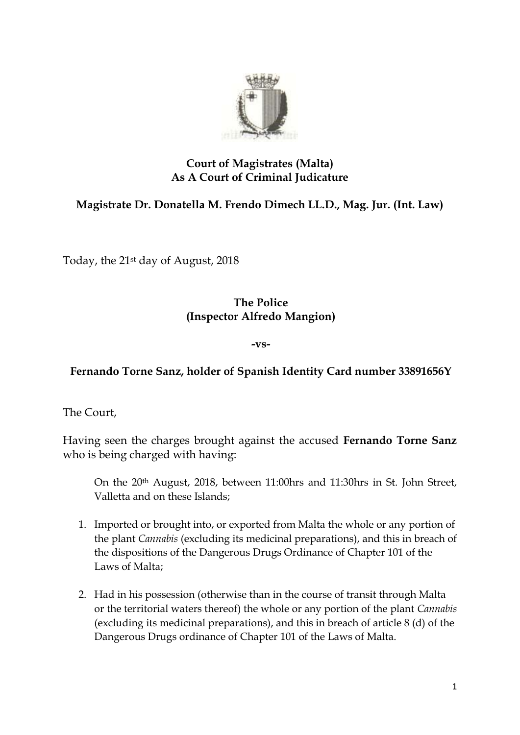

## **Court of Magistrates (Malta) As A Court of Criminal Judicature**

# **Magistrate Dr. Donatella M. Frendo Dimech LL.D., Mag. Jur. (Int. Law)**

Today, the 21st day of August, 2018

### **The Police (Inspector Alfredo Mangion)**

#### **-vs-**

## **Fernando Torne Sanz, holder of Spanish Identity Card number 33891656Y**

The Court,

Having seen the charges brought against the accused **Fernando Torne Sanz** who is being charged with having:

On the 20th August, 2018, between 11:00hrs and 11:30hrs in St. John Street, Valletta and on these Islands;

- 1. Imported or brought into, or exported from Malta the whole or any portion of the plant *Cannabis* (excluding its medicinal preparations), and this in breach of the dispositions of the Dangerous Drugs Ordinance of Chapter 101 of the Laws of Malta;
- 2. Had in his possession (otherwise than in the course of transit through Malta or the territorial waters thereof) the whole or any portion of the plant *Cannabis* (excluding its medicinal preparations), and this in breach of article 8 (d) of the Dangerous Drugs ordinance of Chapter 101 of the Laws of Malta.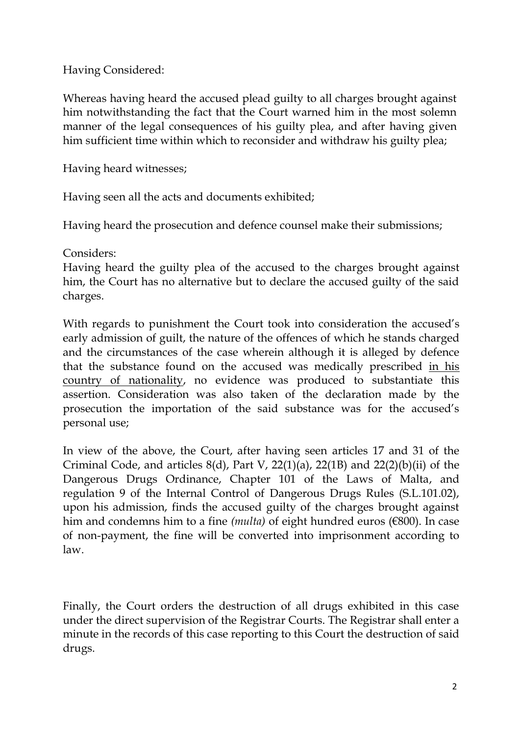Having Considered:

Whereas having heard the accused plead guilty to all charges brought against him notwithstanding the fact that the Court warned him in the most solemn manner of the legal consequences of his guilty plea, and after having given him sufficient time within which to reconsider and withdraw his guilty plea;

Having heard witnesses;

Having seen all the acts and documents exhibited;

Having heard the prosecution and defence counsel make their submissions;

Considers:

Having heard the guilty plea of the accused to the charges brought against him, the Court has no alternative but to declare the accused guilty of the said charges.

With regards to punishment the Court took into consideration the accused's early admission of guilt, the nature of the offences of which he stands charged and the circumstances of the case wherein although it is alleged by defence that the substance found on the accused was medically prescribed in his country of nationality, no evidence was produced to substantiate this assertion. Consideration was also taken of the declaration made by the prosecution the importation of the said substance was for the accused's personal use;

In view of the above, the Court, after having seen articles 17 and 31 of the Criminal Code, and articles  $8(d)$ , Part V,  $22(1)(a)$ ,  $22(1B)$  and  $22(2)(b)(ii)$  of the Dangerous Drugs Ordinance, Chapter 101 of the Laws of Malta, and regulation 9 of the Internal Control of Dangerous Drugs Rules (S.L.101.02), upon his admission, finds the accused guilty of the charges brought against him and condemns him to a fine *(multa)* of eight hundred euros (€800). In case of non-payment, the fine will be converted into imprisonment according to law.

Finally, the Court orders the destruction of all drugs exhibited in this case under the direct supervision of the Registrar Courts. The Registrar shall enter a minute in the records of this case reporting to this Court the destruction of said drugs.